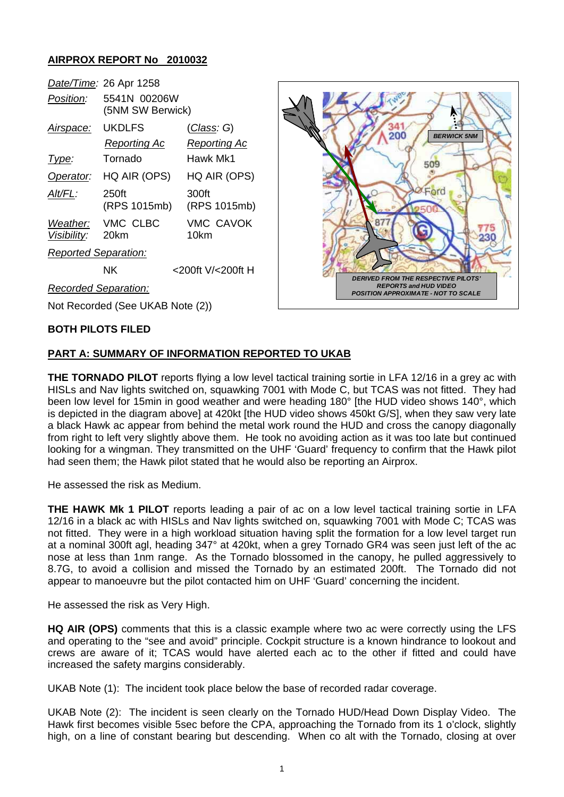## **AIRPROX REPORT No 2010032**

|                             | Date/Time: 26 Apr 1258           |                          |
|-----------------------------|----------------------------------|--------------------------|
| <i>Position:</i>            | 5541N 00206W<br>(5NM SW Berwick) |                          |
| Airspace:                   | UKDLFS                           | (Class: G)               |
|                             | Reporting Ac                     | Reporting Ac             |
| Type:                       | Tornado                          | Hawk Mk1                 |
| Operator:                   | HQ AIR (OPS)                     | HQ AIR (OPS)             |
| Alt/FL:                     | 250ft<br>(RPS 1015mb)            | 300ft<br>(RPS 1015mb)    |
| Weather:<br>Visibility:     | VMC CLBC<br>20km                 | <b>VMC CAVOK</b><br>10km |
| <b>Reported Separation:</b> |                                  |                          |
|                             | ΝK                               | <200ft V/<200ft H        |



*Recorded Separation:*

Not Recorded (See UKAB Note (2))

#### **BOTH PILOTS FILED**

### **PART A: SUMMARY OF INFORMATION REPORTED TO UKAB**

**THE TORNADO PILOT** reports flying a low level tactical training sortie in LFA 12/16 in a grey ac with HISLs and Nav lights switched on, squawking 7001 with Mode C, but TCAS was not fitted. They had been low level for 15min in good weather and were heading 180° [the HUD video shows 140°, which is depicted in the diagram above] at 420kt [the HUD video shows 450kt G/S], when they saw very late a black Hawk ac appear from behind the metal work round the HUD and cross the canopy diagonally from right to left very slightly above them. He took no avoiding action as it was too late but continued looking for a wingman. They transmitted on the UHF 'Guard' frequency to confirm that the Hawk pilot had seen them; the Hawk pilot stated that he would also be reporting an Airprox.

He assessed the risk as Medium.

**THE HAWK Mk 1 PILOT** reports leading a pair of ac on a low level tactical training sortie in LFA 12/16 in a black ac with HISLs and Nav lights switched on, squawking 7001 with Mode C; TCAS was not fitted. They were in a high workload situation having split the formation for a low level target run at a nominal 300ft agl, heading 347° at 420kt, when a grey Tornado GR4 was seen just left of the ac nose at less than 1nm range. As the Tornado blossomed in the canopy, he pulled aggressively to 8.7G, to avoid a collision and missed the Tornado by an estimated 200ft. The Tornado did not appear to manoeuvre but the pilot contacted him on UHF 'Guard' concerning the incident.

He assessed the risk as Very High.

**HQ AIR (OPS)** comments that this is a classic example where two ac were correctly using the LFS and operating to the "see and avoid" principle. Cockpit structure is a known hindrance to lookout and crews are aware of it; TCAS would have alerted each ac to the other if fitted and could have increased the safety margins considerably.

UKAB Note (1): The incident took place below the base of recorded radar coverage.

UKAB Note (2): The incident is seen clearly on the Tornado HUD/Head Down Display Video. The Hawk first becomes visible 5sec before the CPA, approaching the Tornado from its 1 o'clock, slightly high, on a line of constant bearing but descending. When co alt with the Tornado, closing at over